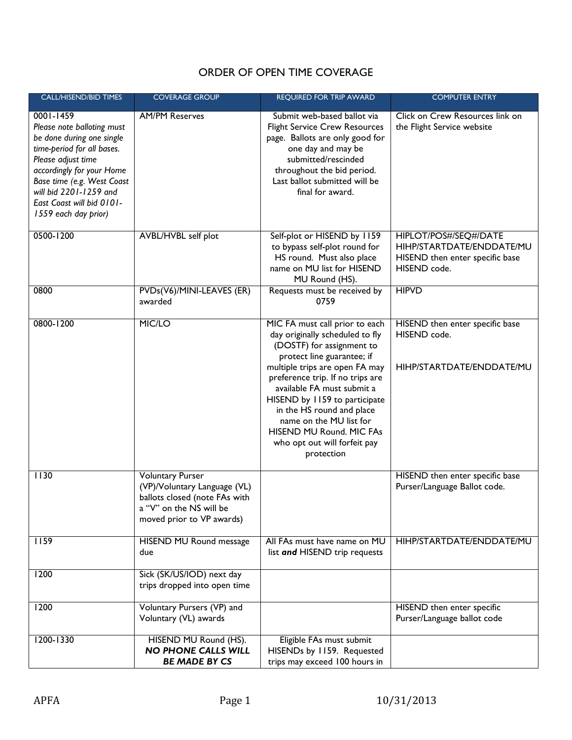## ORDER OF OPEN TIME COVERAGE

| <b>CALL/HISEND/BID TIMES</b>                                                                                                                                                                                                                                       | <b>COVERAGE GROUP</b>                                                                                                                            | <b>REQUIRED FOR TRIP AWARD</b>                                                                                                                                                                                                                                                                                                                                                                      | <b>COMPUTER ENTRY</b>                                                                                 |
|--------------------------------------------------------------------------------------------------------------------------------------------------------------------------------------------------------------------------------------------------------------------|--------------------------------------------------------------------------------------------------------------------------------------------------|-----------------------------------------------------------------------------------------------------------------------------------------------------------------------------------------------------------------------------------------------------------------------------------------------------------------------------------------------------------------------------------------------------|-------------------------------------------------------------------------------------------------------|
| 0001-1459<br>Please note balloting must<br>be done during one single<br>time-period for all bases.<br>Please adjust time<br>accordingly for your Home<br>Base time (e.g. West Coast<br>will bid 2201-1259 and<br>East Coast will bid 0101-<br>1559 each day prior) | <b>AM/PM Reserves</b>                                                                                                                            | Submit web-based ballot via<br><b>Flight Service Crew Resources</b><br>page. Ballots are only good for<br>one day and may be<br>submitted/rescinded<br>throughout the bid period.<br>Last ballot submitted will be<br>final for award.                                                                                                                                                              | Click on Crew Resources link on<br>the Flight Service website                                         |
| 0500-1200                                                                                                                                                                                                                                                          | AVBL/HVBL self plot                                                                                                                              | Self-plot or HISEND by 1159<br>to bypass self-plot round for<br>HS round. Must also place<br>name on MU list for HISEND<br>MU Round (HS).                                                                                                                                                                                                                                                           | HIPLOT/POS#/SEQ#/DATE<br>HIHP/STARTDATE/ENDDATE/MU<br>HISEND then enter specific base<br>HISEND code. |
| 0800                                                                                                                                                                                                                                                               | PVDs(V6)/MINI-LEAVES (ER)<br>awarded                                                                                                             | Requests must be received by<br>0759                                                                                                                                                                                                                                                                                                                                                                | <b>HIPVD</b>                                                                                          |
| 0800-1200                                                                                                                                                                                                                                                          | MIC/LO                                                                                                                                           | MIC FA must call prior to each<br>day originally scheduled to fly<br>(DOSTF) for assignment to<br>protect line guarantee; if<br>multiple trips are open FA may<br>preference trip. If no trips are<br>available FA must submit a<br>HISEND by 1159 to participate<br>in the HS round and place<br>name on the MU list for<br>HISEND MU Round. MIC FAs<br>who opt out will forfeit pay<br>protection | HISEND then enter specific base<br>HISEND code.<br>HIHP/STARTDATE/ENDDATE/MU                          |
| 1130                                                                                                                                                                                                                                                               | <b>Voluntary Purser</b><br>(VP)/Voluntary Language (VL)<br>ballots closed (note FAs with<br>a "V" on the NS will be<br>moved prior to VP awards) |                                                                                                                                                                                                                                                                                                                                                                                                     | HISEND then enter specific base<br>Purser/Language Ballot code.                                       |
| 1159                                                                                                                                                                                                                                                               | HISEND MU Round message<br>due                                                                                                                   | All FAs must have name on MU<br>list and HISEND trip requests                                                                                                                                                                                                                                                                                                                                       | HIHP/STARTDATE/ENDDATE/MU                                                                             |
| 1200                                                                                                                                                                                                                                                               | Sick (SK/US/IOD) next day<br>trips dropped into open time                                                                                        |                                                                                                                                                                                                                                                                                                                                                                                                     |                                                                                                       |
| 1200                                                                                                                                                                                                                                                               | Voluntary Pursers (VP) and<br>Voluntary (VL) awards                                                                                              |                                                                                                                                                                                                                                                                                                                                                                                                     | HISEND then enter specific<br>Purser/Language ballot code                                             |
| 1200-1330                                                                                                                                                                                                                                                          | HISEND MU Round (HS).<br><b>NO PHONE CALLS WILL</b><br><b>BE MADE BY CS</b>                                                                      | Eligible FAs must submit<br>HISENDs by 1159. Requested<br>trips may exceed 100 hours in                                                                                                                                                                                                                                                                                                             |                                                                                                       |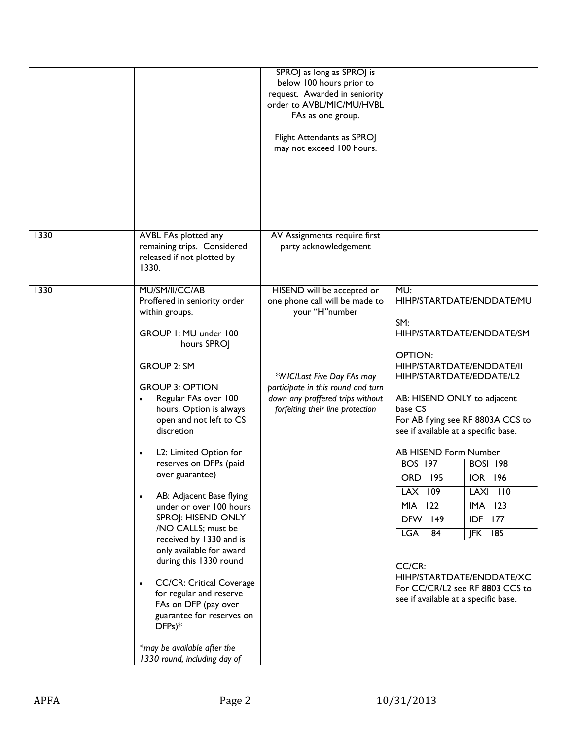|      |                                                                                                                                                                                                                                                                                                                                                                                                                                                                                                                                                                                                                                                                                                                                                      | SPROJ as long as SPROJ is<br>below 100 hours prior to<br>request. Awarded in seniority<br>order to AVBL/MIC/MU/HVBL<br>FAs as one group.<br>Flight Attendants as SPROJ<br>may not exceed 100 hours.                        |                                                                                                                                                                                                                                                                                                                                                                                                                                                                                                                                                                                                                       |
|------|------------------------------------------------------------------------------------------------------------------------------------------------------------------------------------------------------------------------------------------------------------------------------------------------------------------------------------------------------------------------------------------------------------------------------------------------------------------------------------------------------------------------------------------------------------------------------------------------------------------------------------------------------------------------------------------------------------------------------------------------------|----------------------------------------------------------------------------------------------------------------------------------------------------------------------------------------------------------------------------|-----------------------------------------------------------------------------------------------------------------------------------------------------------------------------------------------------------------------------------------------------------------------------------------------------------------------------------------------------------------------------------------------------------------------------------------------------------------------------------------------------------------------------------------------------------------------------------------------------------------------|
| 1330 | AVBL FAs plotted any<br>remaining trips. Considered<br>released if not plotted by<br>1330.                                                                                                                                                                                                                                                                                                                                                                                                                                                                                                                                                                                                                                                           | AV Assignments require first<br>party acknowledgement                                                                                                                                                                      |                                                                                                                                                                                                                                                                                                                                                                                                                                                                                                                                                                                                                       |
| 1330 | MU/SM/II/CC/AB<br>Proffered in seniority order<br>within groups.<br>GROUP I: MU under 100<br>hours SPROJ<br><b>GROUP 2: SM</b><br><b>GROUP 3: OPTION</b><br>Regular FAs over 100<br>hours. Option is always<br>open and not left to CS<br>discretion<br>L2: Limited Option for<br>$\bullet$<br>reserves on DFPs (paid<br>over guarantee)<br>AB: Adjacent Base flying<br>$\bullet$<br>under or over 100 hours<br>SPROJ: HISEND ONLY<br>/NO CALLS; must be<br>received by 1330 and is<br>only available for award<br>during this 1330 round<br><b>CC/CR: Critical Coverage</b><br>$\bullet$<br>for regular and reserve<br>FAs on DFP (pay over<br>guarantee for reserves on<br>$DFPs)*$<br>*may be available after the<br>1330 round, including day of | HISEND will be accepted or<br>one phone call will be made to<br>your "H"number<br>*MIC/Last Five Day FAs may<br>participate in this round and turn<br>down any proffered trips without<br>forfeiting their line protection | MU:<br>HIHP/STARTDATE/ENDDATE/MU<br>SM:<br>HIHP/STARTDATE/ENDDATE/SM<br><b>OPTION:</b><br>HIHP/STARTDATE/ENDDATE/II<br>HIHP/STARTDATE/EDDATE/L2<br>AB: HISEND ONLY to adjacent<br>base CS<br>For AB flying see RF 8803A CCS to<br>see if available at a specific base.<br>AB HISEND Form Number<br><b>BOSI 198</b><br><b>BOS 197</b><br><b>ORD 195</b><br><b>IOR 196</b><br>LAX 109<br><b>LAXI 110</b><br><b>MIA 122</b><br>$IMA$ 123<br><b>DFW 149</b><br>$IDF$ 177<br>$IFK$ 185<br><b>LGA 184</b><br>CC/CR:<br>HIHP/STARTDATE/ENDDATE/XC<br>For CC/CR/L2 see RF 8803 CCS to<br>see if available at a specific base. |